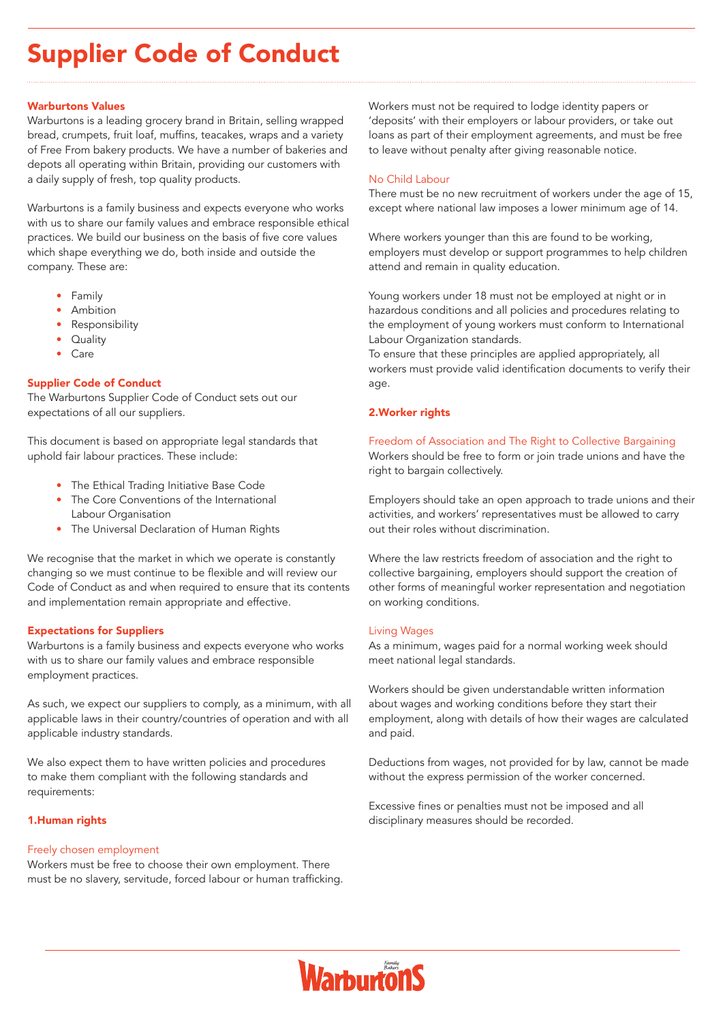# Supplier Code of Conduct

## Warburtons Values

Warburtons is a leading grocery brand in Britain, selling wrapped bread, crumpets, fruit loaf, muffins, teacakes, wraps and a variety of Free From bakery products. We have a number of bakeries and depots all operating within Britain, providing our customers with a daily supply of fresh, top quality products.

Warburtons is a family business and expects everyone who works with us to share our family values and embrace responsible ethical practices. We build our business on the basis of five core values which shape everything we do, both inside and outside the company. These are:

- Family
- **Ambition**
- **Responsibility**
- **Quality**
- Care

# Supplier Code of Conduct

The Warburtons Supplier Code of Conduct sets out our expectations of all our suppliers.

This document is based on appropriate legal standards that uphold fair labour practices. These include:

- The Ethical Trading Initiative Base Code
- The Core Conventions of the International Labour Organisation
- The Universal Declaration of Human Rights

We recognise that the market in which we operate is constantly changing so we must continue to be flexible and will review our Code of Conduct as and when required to ensure that its contents and implementation remain appropriate and effective.

#### Expectations for Suppliers

Warburtons is a family business and expects everyone who works with us to share our family values and embrace responsible employment practices.

As such, we expect our suppliers to comply, as a minimum, with all applicable laws in their country/countries of operation and with all applicable industry standards.

We also expect them to have written policies and procedures to make them compliant with the following standards and requirements:

#### 1.Human rights

#### Freely chosen employment

Workers must be free to choose their own employment. There must be no slavery, servitude, forced labour or human trafficking. Workers must not be required to lodge identity papers or 'deposits' with their employers or labour providers, or take out loans as part of their employment agreements, and must be free to leave without penalty after giving reasonable notice.

#### No Child Labour

There must be no new recruitment of workers under the age of 15, except where national law imposes a lower minimum age of 14.

Where workers younger than this are found to be working, employers must develop or support programmes to help children attend and remain in quality education.

Young workers under 18 must not be employed at night or in hazardous conditions and all policies and procedures relating to the employment of young workers must conform to International Labour Organization standards.

To ensure that these principles are applied appropriately, all workers must provide valid identification documents to verify their age.

#### 2.Worker rights

## Freedom of Association and The Right to Collective Bargaining Workers should be free to form or join trade unions and have the right to bargain collectively.

Employers should take an open approach to trade unions and their activities, and workers' representatives must be allowed to carry out their roles without discrimination.

Where the law restricts freedom of association and the right to collective bargaining, employers should support the creation of other forms of meaningful worker representation and negotiation on working conditions.

#### Living Wages

As a minimum, wages paid for a normal working week should meet national legal standards.

Workers should be given understandable written information about wages and working conditions before they start their employment, along with details of how their wages are calculated and paid.

Deductions from wages, not provided for by law, cannot be made without the express permission of the worker concerned.

Excessive fines or penalties must not be imposed and all disciplinary measures should be recorded.